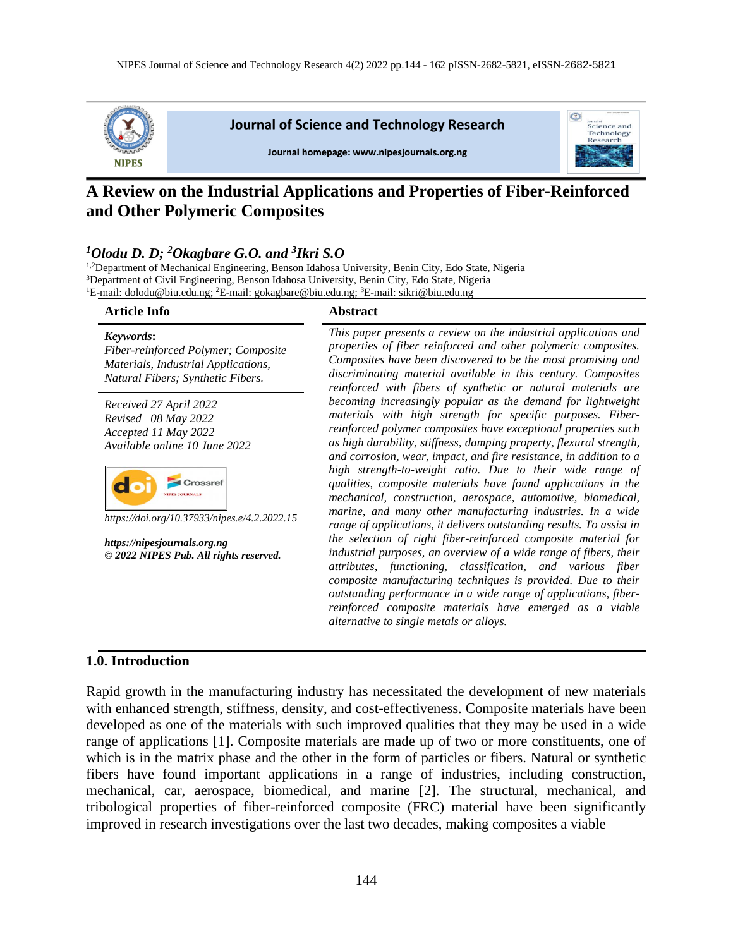

# **A Review on the Industrial Applications and Properties of Fiber-Reinforced and Other Polymeric Composites**

### *<sup>1</sup>Olodu D. D; <sup>2</sup>Okagbare G.O. and <sup>3</sup> Ikri S.O*

<sup>1,2</sup>Department of Mechanical Engineering, Benson Idahosa University, Benin City, Edo State, Nigeria <sup>3</sup>Department of Civil Engineering, Benson Idahosa University, Benin City, Edo State, Nigeria <sup>1</sup>E-mail: [dolodu@biu.edu.ng;](mailto:dolodu@biu.edu.ng) <sup>2</sup>E-mail[: gokagbare@biu.edu.ng;](mailto:gokagbare@biu.edu.ng) <sup>3</sup>E-mail: sikri@biu.edu.ng

| <b>Article Info</b>                                                                                                          | <b>Abstract</b>                                                                                                                                                                                                                                                                                                                                                                                                                            |
|------------------------------------------------------------------------------------------------------------------------------|--------------------------------------------------------------------------------------------------------------------------------------------------------------------------------------------------------------------------------------------------------------------------------------------------------------------------------------------------------------------------------------------------------------------------------------------|
| Keywords:<br>Fiber-reinforced Polymer; Composite<br>Materials, Industrial Applications,<br>Natural Fibers; Synthetic Fibers. | This paper presents a review on the industrial applications and<br>properties of fiber reinforced and other polymeric composites.<br>Composites have been discovered to be the most promising and<br>discriminating material available in this century. Composites<br>reinforced with fibers of synthetic or natural materials are                                                                                                         |
| Received 27 April 2022<br>Revised 08 May 2022<br>Accepted 11 May 2022<br>Available online 10 June 2022                       | becoming increasingly popular as the demand for lightweight<br>materials with high strength for specific purposes. Fiber-<br>reinforced polymer composites have exceptional properties such<br>as high durability, stiffness, damping property, flexural strength,<br>and corrosion, wear, impact, and fire resistance, in addition to a                                                                                                   |
| https://doi.org/10.37933/nipes.e/4.2.2022.15                                                                                 | high strength-to-weight ratio. Due to their wide range of<br>qualities, composite materials have found applications in the<br>mechanical, construction, aerospace, automotive, biomedical,<br>marine, and many other manufacturing industries. In a wide<br>range of applications, it delivers outstanding results. To assist in                                                                                                           |
| https://nipesjournals.org.ng<br>© 2022 NIPES Pub. All rights reserved.                                                       | the selection of right fiber-reinforced composite material for<br>industrial purposes, an overview of a wide range of fibers, their<br>attributes, functioning, classification, and various fiber<br>composite manufacturing techniques is provided. Due to their<br>outstanding performance in a wide range of applications, fiber-<br>reinforced composite materials have emerged as a viable<br>alternative to single metals or alloys. |
|                                                                                                                              |                                                                                                                                                                                                                                                                                                                                                                                                                                            |

#### **1.0. Introduction**

Rapid growth in the manufacturing industry has necessitated the development of new materials with enhanced strength, stiffness, density, and cost-effectiveness. Composite materials have been developed as one of the materials with such improved qualities that they may be used in a wide range of applications [1]. Composite materials are made up of two or more constituents, one of which is in the matrix phase and the other in the form of particles or fibers. Natural or synthetic fibers have found important applications in a range of industries, including construction, mechanical, car, aerospace, biomedical, and marine [2]. The structural, mechanical, and tribological properties of fiber-reinforced composite (FRC) material have been significantly improved in research investigations over the last two decades, making composites a viable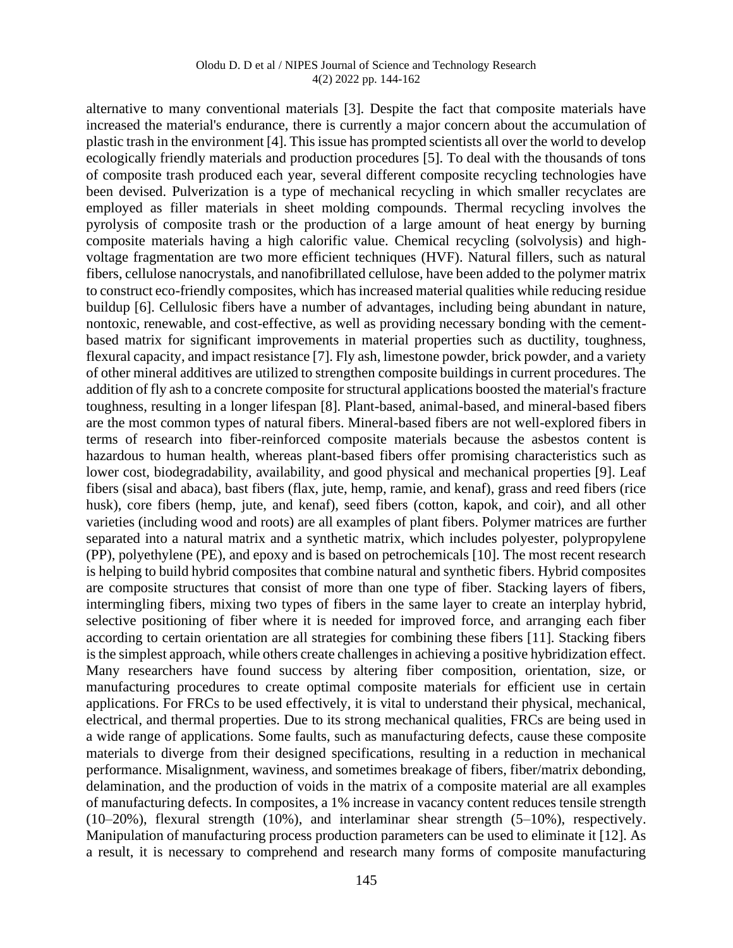#### Olodu D. D et al / NIPES Journal of Science and Technology Research 4(2) 2022 pp. 144-162

alternative to many conventional materials [3]. Despite the fact that composite materials have increased the material's endurance, there is currently a major concern about the accumulation of plastic trash in the environment [4]. This issue has prompted scientists all over the world to develop ecologically friendly materials and production procedures [5]. To deal with the thousands of tons of composite trash produced each year, several different composite recycling technologies have been devised. Pulverization is a type of mechanical recycling in which smaller recyclates are employed as filler materials in sheet molding compounds. Thermal recycling involves the pyrolysis of composite trash or the production of a large amount of heat energy by burning composite materials having a high calorific value. Chemical recycling (solvolysis) and highvoltage fragmentation are two more efficient techniques (HVF). Natural fillers, such as natural fibers, cellulose nanocrystals, and nanofibrillated cellulose, have been added to the polymer matrix to construct eco-friendly composites, which has increased material qualities while reducing residue buildup [6]. Cellulosic fibers have a number of advantages, including being abundant in nature, nontoxic, renewable, and cost-effective, as well as providing necessary bonding with the cementbased matrix for significant improvements in material properties such as ductility, toughness, flexural capacity, and impact resistance [7]. Fly ash, limestone powder, brick powder, and a variety of other mineral additives are utilized to strengthen composite buildings in current procedures. The addition of fly ash to a concrete composite for structural applications boosted the material's fracture toughness, resulting in a longer lifespan [8]. Plant-based, animal-based, and mineral-based fibers are the most common types of natural fibers. Mineral-based fibers are not well-explored fibers in terms of research into fiber-reinforced composite materials because the asbestos content is hazardous to human health, whereas plant-based fibers offer promising characteristics such as lower cost, biodegradability, availability, and good physical and mechanical properties [9]. Leaf fibers (sisal and abaca), bast fibers (flax, jute, hemp, ramie, and kenaf), grass and reed fibers (rice husk), core fibers (hemp, jute, and kenaf), seed fibers (cotton, kapok, and coir), and all other varieties (including wood and roots) are all examples of plant fibers. Polymer matrices are further separated into a natural matrix and a synthetic matrix, which includes polyester, polypropylene (PP), polyethylene (PE), and epoxy and is based on petrochemicals [10]. The most recent research is helping to build hybrid composites that combine natural and synthetic fibers. Hybrid composites are composite structures that consist of more than one type of fiber. Stacking layers of fibers, intermingling fibers, mixing two types of fibers in the same layer to create an interplay hybrid, selective positioning of fiber where it is needed for improved force, and arranging each fiber according to certain orientation are all strategies for combining these fibers [11]. Stacking fibers is the simplest approach, while others create challenges in achieving a positive hybridization effect. Many researchers have found success by altering fiber composition, orientation, size, or manufacturing procedures to create optimal composite materials for efficient use in certain applications. For FRCs to be used effectively, it is vital to understand their physical, mechanical, electrical, and thermal properties. Due to its strong mechanical qualities, FRCs are being used in a wide range of applications. Some faults, such as manufacturing defects, cause these composite materials to diverge from their designed specifications, resulting in a reduction in mechanical performance. Misalignment, waviness, and sometimes breakage of fibers, fiber/matrix debonding, delamination, and the production of voids in the matrix of a composite material are all examples of manufacturing defects. In composites, a 1% increase in vacancy content reduces tensile strength (10–20%), flexural strength (10%), and interlaminar shear strength (5–10%), respectively. Manipulation of manufacturing process production parameters can be used to eliminate it [12]. As a result, it is necessary to comprehend and research many forms of composite manufacturing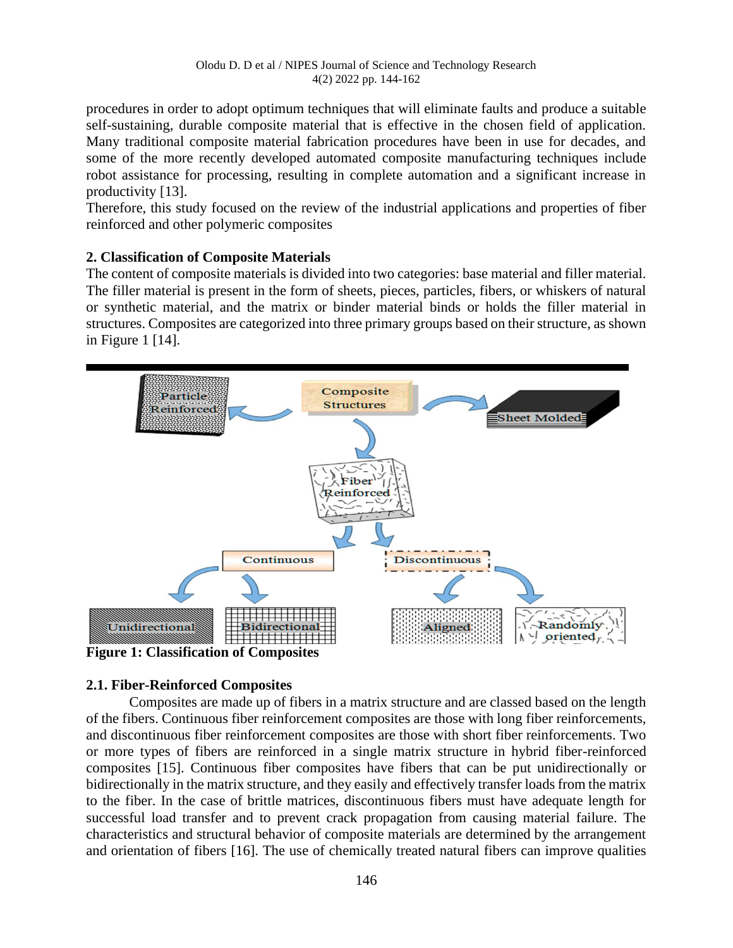procedures in order to adopt optimum techniques that will eliminate faults and produce a suitable self-sustaining, durable composite material that is effective in the chosen field of application. Many traditional composite material fabrication procedures have been in use for decades, and some of the more recently developed automated composite manufacturing techniques include robot assistance for processing, resulting in complete automation and a significant increase in productivity [13].

Therefore, this study focused on the review of the industrial applications and properties of fiber reinforced and other polymeric composites

### **2. Classification of Composite Materials**

The content of composite materials is divided into two categories: base material and filler material. The filler material is present in the form of sheets, pieces, particles, fibers, or whiskers of natural or synthetic material, and the matrix or binder material binds or holds the filler material in structures. Composites are categorized into three primary groups based on their structure, as shown in Figure 1 [14].



# **Figure 1: Classification of Composites**

### **2.1. Fiber-Reinforced Composites**

Composites are made up of fibers in a matrix structure and are classed based on the length of the fibers. Continuous fiber reinforcement composites are those with long fiber reinforcements, and discontinuous fiber reinforcement composites are those with short fiber reinforcements. Two or more types of fibers are reinforced in a single matrix structure in hybrid fiber-reinforced composites [15]. Continuous fiber composites have fibers that can be put unidirectionally or bidirectionally in the matrix structure, and they easily and effectively transfer loads from the matrix to the fiber. In the case of brittle matrices, discontinuous fibers must have adequate length for successful load transfer and to prevent crack propagation from causing material failure. The characteristics and structural behavior of composite materials are determined by the arrangement and orientation of fibers [16]. The use of chemically treated natural fibers can improve qualities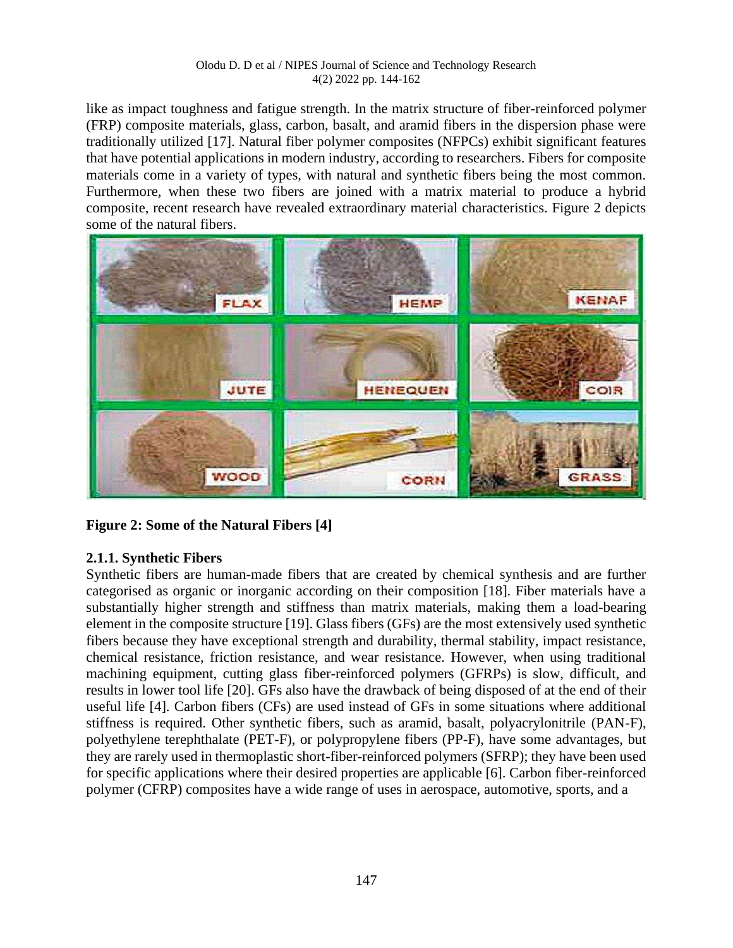#### Olodu D. D et al / NIPES Journal of Science and Technology Research 4(2) 2022 pp. 144-162

like as impact toughness and fatigue strength. In the matrix structure of fiber-reinforced polymer (FRP) composite materials, glass, carbon, basalt, and aramid fibers in the dispersion phase were traditionally utilized [17]. Natural fiber polymer composites (NFPCs) exhibit significant features that have potential applications in modern industry, according to researchers. Fibers for composite materials come in a variety of types, with natural and synthetic fibers being the most common. Furthermore, when these two fibers are joined with a matrix material to produce a hybrid composite, recent research have revealed extraordinary material characteristics. Figure 2 depicts some of the natural fibers.



**Figure 2: Some of the Natural Fibers [4]** 

# **2.1.1. Synthetic Fibers**

Synthetic fibers are human-made fibers that are created by chemical synthesis and are further categorised as organic or inorganic according on their composition [18]. Fiber materials have a substantially higher strength and stiffness than matrix materials, making them a load-bearing element in the composite structure [19]. Glass fibers (GFs) are the most extensively used synthetic fibers because they have exceptional strength and durability, thermal stability, impact resistance, chemical resistance, friction resistance, and wear resistance. However, when using traditional machining equipment, cutting glass fiber-reinforced polymers (GFRPs) is slow, difficult, and results in lower tool life [20]. GFs also have the drawback of being disposed of at the end of their useful life [4]. Carbon fibers (CFs) are used instead of GFs in some situations where additional stiffness is required. Other synthetic fibers, such as aramid, basalt, polyacrylonitrile (PAN-F), polyethylene terephthalate (PET-F), or polypropylene fibers (PP-F), have some advantages, but they are rarely used in thermoplastic short-fiber-reinforced polymers (SFRP); they have been used for specific applications where their desired properties are applicable [6]. Carbon fiber-reinforced polymer (CFRP) composites have a wide range of uses in aerospace, automotive, sports, and a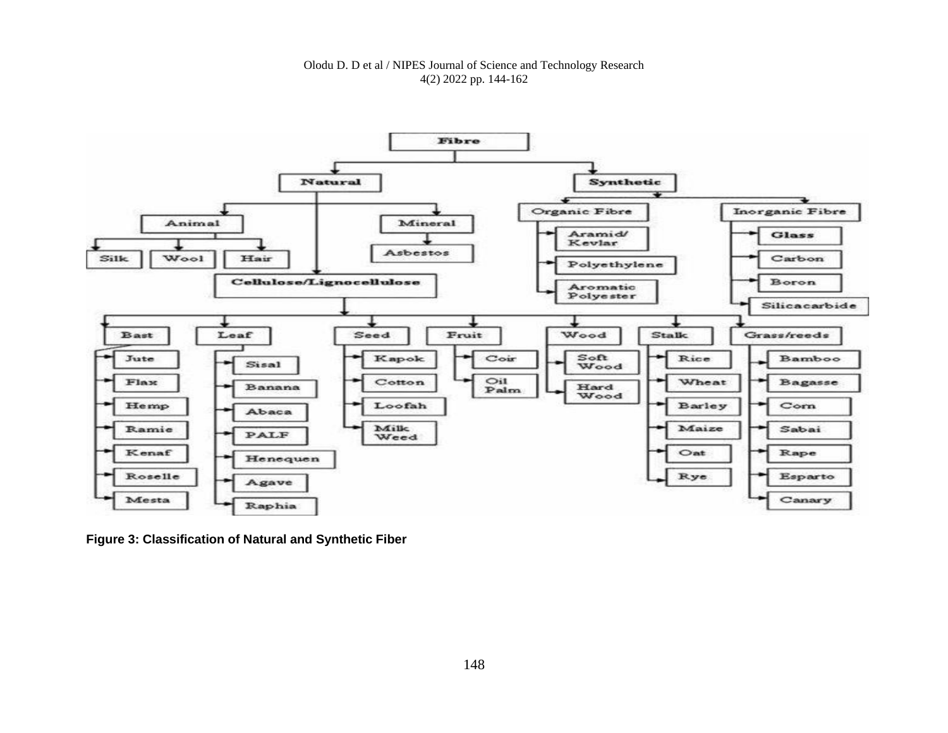#### Olodu D. D et al / NIPES Journal of Science and Technology Research 4(2) 2022 pp. 144-162



**Figure 3: Classification of Natural and Synthetic Fiber**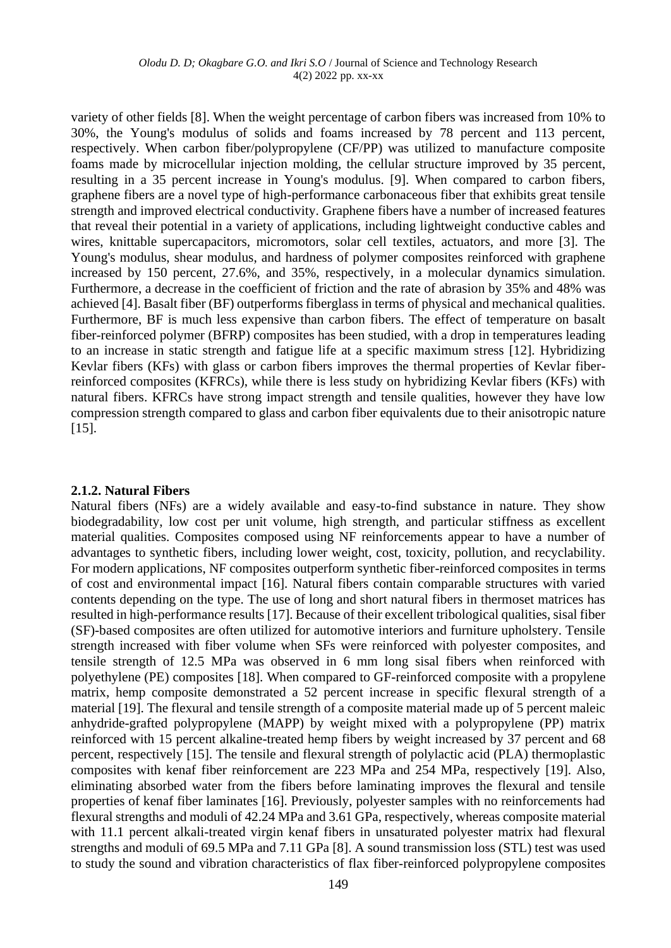variety of other fields [8]. When the weight percentage of carbon fibers was increased from 10% to 30%, the Young's modulus of solids and foams increased by 78 percent and 113 percent, respectively. When carbon fiber/polypropylene (CF/PP) was utilized to manufacture composite foams made by microcellular injection molding, the cellular structure improved by 35 percent, resulting in a 35 percent increase in Young's modulus. [9]. When compared to carbon fibers, graphene fibers are a novel type of high-performance carbonaceous fiber that exhibits great tensile strength and improved electrical conductivity. Graphene fibers have a number of increased features that reveal their potential in a variety of applications, including lightweight conductive cables and wires, knittable supercapacitors, micromotors, solar cell textiles, actuators, and more [3]. The Young's modulus, shear modulus, and hardness of polymer composites reinforced with graphene increased by 150 percent, 27.6%, and 35%, respectively, in a molecular dynamics simulation. Furthermore, a decrease in the coefficient of friction and the rate of abrasion by 35% and 48% was achieved [4]. Basalt fiber (BF) outperforms fiberglass in terms of physical and mechanical qualities. Furthermore, BF is much less expensive than carbon fibers. The effect of temperature on basalt fiber-reinforced polymer (BFRP) composites has been studied, with a drop in temperatures leading to an increase in static strength and fatigue life at a specific maximum stress [12]. Hybridizing Kevlar fibers (KFs) with glass or carbon fibers improves the thermal properties of Kevlar fiberreinforced composites (KFRCs), while there is less study on hybridizing Kevlar fibers (KFs) with natural fibers. KFRCs have strong impact strength and tensile qualities, however they have low compression strength compared to glass and carbon fiber equivalents due to their anisotropic nature [15].

#### **2.1.2. Natural Fibers**

Natural fibers (NFs) are a widely available and easy-to-find substance in nature. They show biodegradability, low cost per unit volume, high strength, and particular stiffness as excellent material qualities. Composites composed using NF reinforcements appear to have a number of advantages to synthetic fibers, including lower weight, cost, toxicity, pollution, and recyclability. For modern applications, NF composites outperform synthetic fiber-reinforced composites in terms of cost and environmental impact [16]. Natural fibers contain comparable structures with varied contents depending on the type. The use of long and short natural fibers in thermoset matrices has resulted in high-performance results [17]. Because of their excellent tribological qualities, sisal fiber (SF)-based composites are often utilized for automotive interiors and furniture upholstery. Tensile strength increased with fiber volume when SFs were reinforced with polyester composites, and tensile strength of 12.5 MPa was observed in 6 mm long sisal fibers when reinforced with polyethylene (PE) composites [18]. When compared to GF-reinforced composite with a propylene matrix, hemp composite demonstrated a 52 percent increase in specific flexural strength of a material [19]. The flexural and tensile strength of a composite material made up of 5 percent maleic anhydride-grafted polypropylene (MAPP) by weight mixed with a polypropylene (PP) matrix reinforced with 15 percent alkaline-treated hemp fibers by weight increased by 37 percent and 68 percent, respectively [15]. The tensile and flexural strength of polylactic acid (PLA) thermoplastic composites with kenaf fiber reinforcement are 223 MPa and 254 MPa, respectively [19]. Also, eliminating absorbed water from the fibers before laminating improves the flexural and tensile properties of kenaf fiber laminates [16]. Previously, polyester samples with no reinforcements had flexural strengths and moduli of 42.24 MPa and 3.61 GPa, respectively, whereas composite material with 11.1 percent alkali-treated virgin kenaf fibers in unsaturated polyester matrix had flexural strengths and moduli of 69.5 MPa and 7.11 GPa [8]. A sound transmission loss (STL) test was used to study the sound and vibration characteristics of flax fiber-reinforced polypropylene composites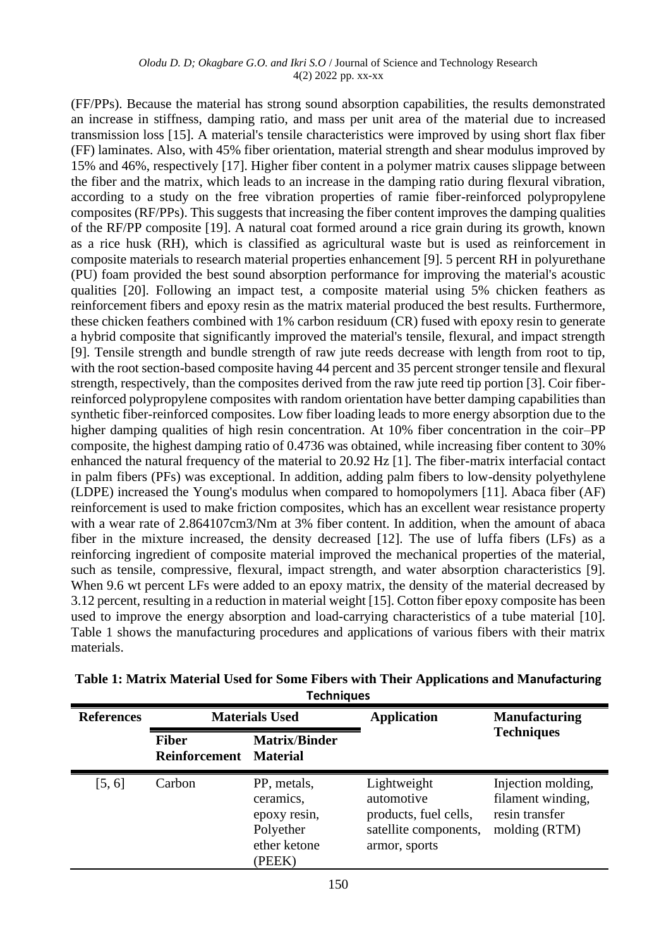#### *Olodu D. D; Okagbare G.O. and Ikri S.O* / Journal of Science and Technology Research 4(2) 2022 pp. xx-xx

(FF/PPs). Because the material has strong sound absorption capabilities, the results demonstrated an increase in stiffness, damping ratio, and mass per unit area of the material due to increased transmission loss [15]. A material's tensile characteristics were improved by using short flax fiber (FF) laminates. Also, with 45% fiber orientation, material strength and shear modulus improved by 15% and 46%, respectively [17]. Higher fiber content in a polymer matrix causes slippage between the fiber and the matrix, which leads to an increase in the damping ratio during flexural vibration, according to a study on the free vibration properties of ramie fiber-reinforced polypropylene composites (RF/PPs). This suggests that increasing the fiber content improves the damping qualities of the RF/PP composite [19]. A natural coat formed around a rice grain during its growth, known as a rice husk (RH), which is classified as agricultural waste but is used as reinforcement in composite materials to research material properties enhancement [9]. 5 percent RH in polyurethane (PU) foam provided the best sound absorption performance for improving the material's acoustic qualities [20]. Following an impact test, a composite material using 5% chicken feathers as reinforcement fibers and epoxy resin as the matrix material produced the best results. Furthermore, these chicken feathers combined with 1% carbon residuum (CR) fused with epoxy resin to generate a hybrid composite that significantly improved the material's tensile, flexural, and impact strength [9]. Tensile strength and bundle strength of raw jute reeds decrease with length from root to tip, with the root section-based composite having 44 percent and 35 percent stronger tensile and flexural strength, respectively, than the composites derived from the raw jute reed tip portion [3]. Coir fiberreinforced polypropylene composites with random orientation have better damping capabilities than synthetic fiber-reinforced composites. Low fiber loading leads to more energy absorption due to the higher damping qualities of high resin concentration. At 10% fiber concentration in the coir–PP composite, the highest damping ratio of 0.4736 was obtained, while increasing fiber content to 30% enhanced the natural frequency of the material to 20.92 Hz [1]. The fiber-matrix interfacial contact in palm fibers (PFs) was exceptional. In addition, adding palm fibers to low-density polyethylene (LDPE) increased the Young's modulus when compared to homopolymers [11]. Abaca fiber (AF) reinforcement is used to make friction composites, which has an excellent wear resistance property with a wear rate of 2.864107cm3/Nm at 3% fiber content. In addition, when the amount of abaca fiber in the mixture increased, the density decreased [12]. The use of luffa fibers (LFs) as a reinforcing ingredient of composite material improved the mechanical properties of the material, such as tensile, compressive, flexural, impact strength, and water absorption characteristics [9]. When 9.6 wt percent LFs were added to an epoxy matrix, the density of the material decreased by 3.12 percent, resulting in a reduction in material weight [15]. Cotton fiber epoxy composite has been used to improve the energy absorption and load-carrying characteristics of a tube material [10]. Table 1 shows the manufacturing procedures and applications of various fibers with their matrix materials.

| <b>References</b> | <b>Materials Used</b>         |                                                                                 | <b>Application</b>                                                                           | <b>Manufacturing</b>                                                       |
|-------------------|-------------------------------|---------------------------------------------------------------------------------|----------------------------------------------------------------------------------------------|----------------------------------------------------------------------------|
|                   | <b>Fiber</b><br>Reinforcement | <b>Matrix/Binder</b><br><b>Material</b>                                         |                                                                                              | <b>Techniques</b>                                                          |
| [5, 6]            | Carbon                        | PP, metals,<br>ceramics,<br>epoxy resin,<br>Polyether<br>ether ketone<br>(PEEK) | Lightweight<br>automotive<br>products, fuel cells,<br>satellite components,<br>armor, sports | Injection molding,<br>filament winding,<br>resin transfer<br>molding (RTM) |

| Table 1: Matrix Material Used for Some Fibers with Their Applications and Manufacturing |
|-----------------------------------------------------------------------------------------|
| <b>Techniques</b>                                                                       |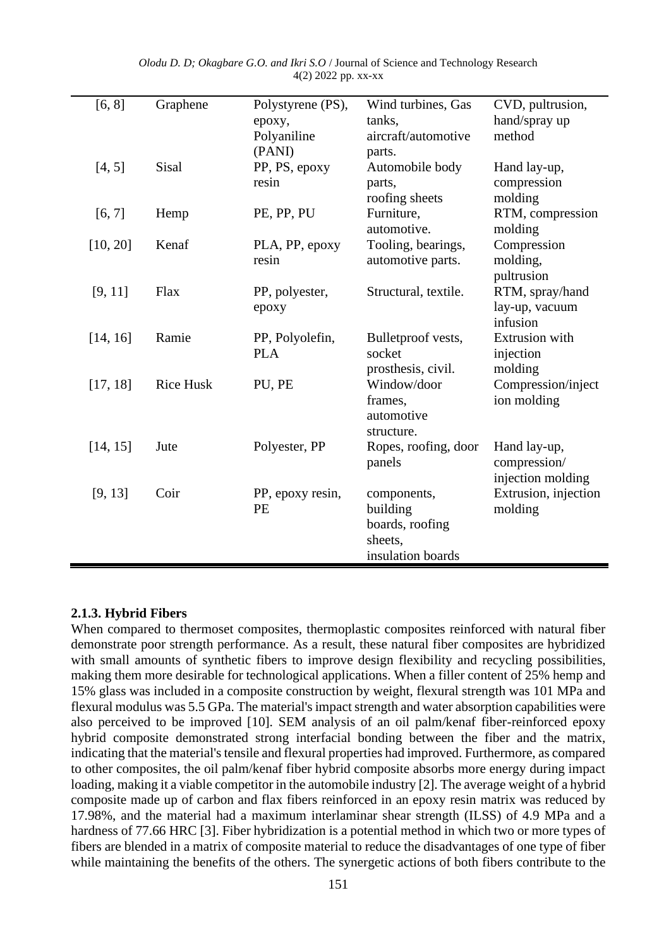| [6, 8]   | Graphene         | Polystyrene (PS), | Wind turbines, Gas   | CVD, pultrusion,      |
|----------|------------------|-------------------|----------------------|-----------------------|
|          |                  | epoxy,            | tanks,               | hand/spray up         |
|          |                  | Polyaniline       | aircraft/automotive  | method                |
|          |                  | (PANI)            | parts.               |                       |
| [4, 5]   | Sisal            | PP, PS, epoxy     | Automobile body      | Hand lay-up,          |
|          |                  | resin             | parts,               | compression           |
|          |                  |                   | roofing sheets       | molding               |
| [6, 7]   | Hemp             | PE, PP, PU        | Furniture,           | RTM, compression      |
|          |                  |                   | automotive.          | molding               |
| [10, 20] | Kenaf            | PLA, PP, epoxy    | Tooling, bearings,   | Compression           |
|          |                  | resin             | automotive parts.    | molding,              |
|          |                  |                   |                      | pultrusion            |
| [9, 11]  | Flax             | PP, polyester,    | Structural, textile. | RTM, spray/hand       |
|          |                  | ероху             |                      | lay-up, vacuum        |
|          |                  |                   |                      | infusion              |
| [14, 16] | Ramie            | PP, Polyolefin,   | Bulletproof vests,   | <b>Extrusion</b> with |
|          |                  | <b>PLA</b>        | socket               | injection             |
|          |                  |                   | prosthesis, civil.   | molding               |
| [17, 18] | <b>Rice Husk</b> | PU, PE            | Window/door          | Compression/inject    |
|          |                  |                   | frames,              | ion molding           |
|          |                  |                   | automotive           |                       |
|          |                  |                   | structure.           |                       |
| [14, 15] | Jute             | Polyester, PP     | Ropes, roofing, door | Hand lay-up,          |
|          |                  |                   | panels               | compression/          |
|          |                  |                   |                      | injection molding     |
| [9, 13]  | Coir             | PP, epoxy resin,  | components,          | Extrusion, injection  |
|          |                  | PE                | building             | molding               |
|          |                  |                   | boards, roofing      |                       |
|          |                  |                   | sheets,              |                       |
|          |                  |                   | insulation boards    |                       |
|          |                  |                   |                      |                       |

*Olodu D. D; Okagbare G.O. and Ikri S.O* / Journal of Science and Technology Research 4(2) 2022 pp. xx-xx

### **2.1.3. Hybrid Fibers**

 $\overline{\phantom{a}}$ 

When compared to thermoset composites, thermoplastic composites reinforced with natural fiber demonstrate poor strength performance. As a result, these natural fiber composites are hybridized with small amounts of synthetic fibers to improve design flexibility and recycling possibilities, making them more desirable for technological applications. When a filler content of 25% hemp and 15% glass was included in a composite construction by weight, flexural strength was 101 MPa and flexural modulus was 5.5 GPa. The material's impact strength and water absorption capabilities were also perceived to be improved [10]. SEM analysis of an oil palm/kenaf fiber-reinforced epoxy hybrid composite demonstrated strong interfacial bonding between the fiber and the matrix, indicating that the material's tensile and flexural properties had improved. Furthermore, as compared to other composites, the oil palm/kenaf fiber hybrid composite absorbs more energy during impact loading, making it a viable competitor in the automobile industry [2]. The average weight of a hybrid composite made up of carbon and flax fibers reinforced in an epoxy resin matrix was reduced by 17.98%, and the material had a maximum interlaminar shear strength (ILSS) of 4.9 MPa and a hardness of 77.66 HRC [3]. Fiber hybridization is a potential method in which two or more types of fibers are blended in a matrix of composite material to reduce the disadvantages of one type of fiber while maintaining the benefits of the others. The synergetic actions of both fibers contribute to the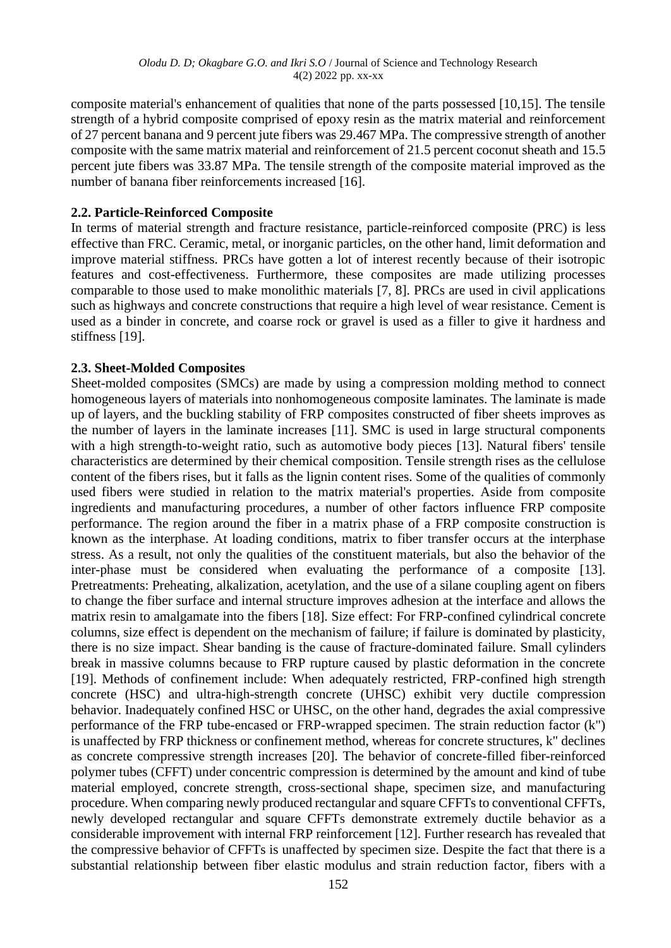composite material's enhancement of qualities that none of the parts possessed [10,15]. The tensile strength of a hybrid composite comprised of epoxy resin as the matrix material and reinforcement of 27 percent banana and 9 percent jute fibers was 29.467 MPa. The compressive strength of another composite with the same matrix material and reinforcement of 21.5 percent coconut sheath and 15.5 percent jute fibers was 33.87 MPa. The tensile strength of the composite material improved as the number of banana fiber reinforcements increased [16].

#### **2.2. Particle-Reinforced Composite**

In terms of material strength and fracture resistance, particle-reinforced composite (PRC) is less effective than FRC. Ceramic, metal, or inorganic particles, on the other hand, limit deformation and improve material stiffness. PRCs have gotten a lot of interest recently because of their isotropic features and cost-effectiveness. Furthermore, these composites are made utilizing processes comparable to those used to make monolithic materials [7, 8]. PRCs are used in civil applications such as highways and concrete constructions that require a high level of wear resistance. Cement is used as a binder in concrete, and coarse rock or gravel is used as a filler to give it hardness and stiffness [19].

#### **2.3. Sheet-Molded Composites**

Sheet-molded composites (SMCs) are made by using a compression molding method to connect homogeneous layers of materials into nonhomogeneous composite laminates. The laminate is made up of layers, and the buckling stability of FRP composites constructed of fiber sheets improves as the number of layers in the laminate increases [11]. SMC is used in large structural components with a high strength-to-weight ratio, such as automotive body pieces [13]. Natural fibers' tensile characteristics are determined by their chemical composition. Tensile strength rises as the cellulose content of the fibers rises, but it falls as the lignin content rises. Some of the qualities of commonly used fibers were studied in relation to the matrix material's properties. Aside from composite ingredients and manufacturing procedures, a number of other factors influence FRP composite performance. The region around the fiber in a matrix phase of a FRP composite construction is known as the interphase. At loading conditions, matrix to fiber transfer occurs at the interphase stress. As a result, not only the qualities of the constituent materials, but also the behavior of the inter-phase must be considered when evaluating the performance of a composite [13]. Pretreatments: Preheating, alkalization, acetylation, and the use of a silane coupling agent on fibers to change the fiber surface and internal structure improves adhesion at the interface and allows the matrix resin to amalgamate into the fibers [18]. Size effect: For FRP-confined cylindrical concrete columns, size effect is dependent on the mechanism of failure; if failure is dominated by plasticity, there is no size impact. Shear banding is the cause of fracture-dominated failure. Small cylinders break in massive columns because to FRP rupture caused by plastic deformation in the concrete [19]. Methods of confinement include: When adequately restricted, FRP-confined high strength concrete (HSC) and ultra-high-strength concrete (UHSC) exhibit very ductile compression behavior. Inadequately confined HSC or UHSC, on the other hand, degrades the axial compressive performance of the FRP tube-encased or FRP-wrapped specimen. The strain reduction factor (k") is unaffected by FRP thickness or confinement method, whereas for concrete structures, k" declines as concrete compressive strength increases [20]. The behavior of concrete-filled fiber-reinforced polymer tubes (CFFT) under concentric compression is determined by the amount and kind of tube material employed, concrete strength, cross-sectional shape, specimen size, and manufacturing procedure. When comparing newly produced rectangular and square CFFTs to conventional CFFTs, newly developed rectangular and square CFFTs demonstrate extremely ductile behavior as a considerable improvement with internal FRP reinforcement [12]. Further research has revealed that the compressive behavior of CFFTs is unaffected by specimen size. Despite the fact that there is a substantial relationship between fiber elastic modulus and strain reduction factor, fibers with a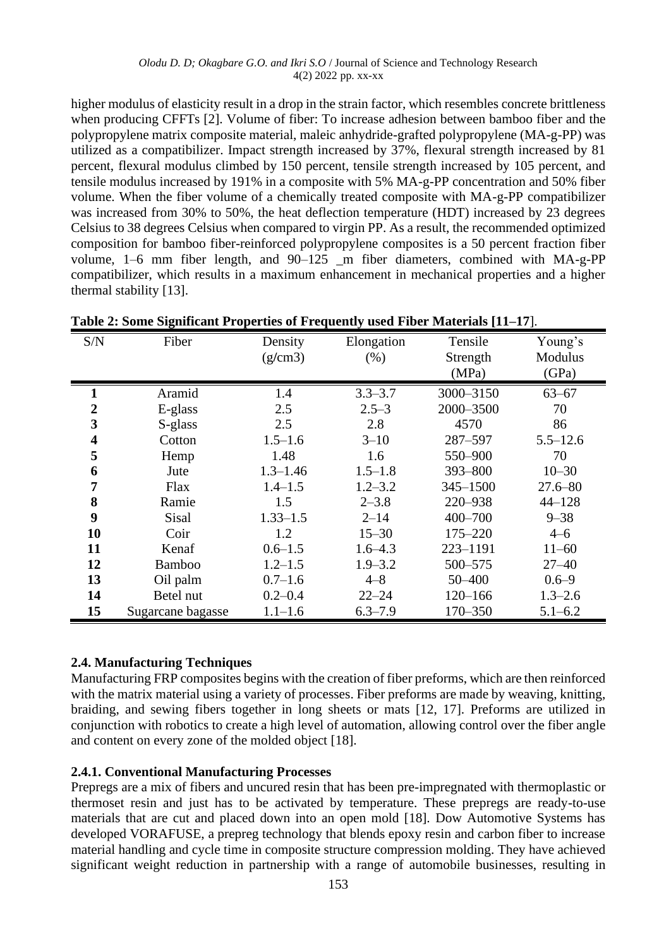higher modulus of elasticity result in a drop in the strain factor, which resembles concrete brittleness when producing CFFTs [2]. Volume of fiber: To increase adhesion between bamboo fiber and the polypropylene matrix composite material, maleic anhydride-grafted polypropylene (MA-g-PP) was utilized as a compatibilizer. Impact strength increased by 37%, flexural strength increased by 81 percent, flexural modulus climbed by 150 percent, tensile strength increased by 105 percent, and tensile modulus increased by 191% in a composite with 5% MA-g-PP concentration and 50% fiber volume. When the fiber volume of a chemically treated composite with MA-g-PP compatibilizer was increased from 30% to 50%, the heat deflection temperature (HDT) increased by 23 degrees Celsius to 38 degrees Celsius when compared to virgin PP. As a result, the recommended optimized composition for bamboo fiber-reinforced polypropylene composites is a 50 percent fraction fiber volume, 1–6 mm fiber length, and 90–125 \_m fiber diameters, combined with MA-g-PP compatibilizer, which results in a maximum enhancement in mechanical properties and a higher thermal stability [13].

| S/N | ᇢ<br>Fiber        | Density<br>(g/cm3) | Elongation<br>(% ) | Tensile<br>Strength<br>(MPa) | Young's<br>Modulus<br>(GPa) |
|-----|-------------------|--------------------|--------------------|------------------------------|-----------------------------|
|     | Aramid            | 1.4                | $3.3 - 3.7$        | 3000-3150                    | $63 - 67$                   |
| 2   | E-glass           | 2.5                | $2.5 - 3$          | 2000-3500                    | 70                          |
| 3   | S-glass           | 2.5                | 2.8                | 4570                         | 86                          |
| 4   | Cotton            | $1.5 - 1.6$        | $3 - 10$           | 287-597                      | $5.5 - 12.6$                |
| 5   | Hemp              | 1.48               | 1.6                | 550-900                      | 70                          |
| 6   | Jute              | $1.3 - 1.46$       | $1.5 - 1.8$        | 393-800                      | $10 - 30$                   |
| 7   | Flax              | $1.4 - 1.5$        | $1.2 - 3.2$        | $345 - 1500$                 | $27.6 - 80$                 |
| 8   | Ramie             | 1.5                | $2 - 3.8$          | 220-938                      | $44 - 128$                  |
| 9   | Sisal             | $1.33 - 1.5$       | $2 - 14$           | 400-700                      | $9 - 38$                    |
| 10  | Coir              | 1.2                | $15 - 30$          | $175 - 220$                  | $4 - 6$                     |
| 11  | Kenaf             | $0.6 - 1.5$        | $1.6 - 4.3$        | 223-1191                     | $11 - 60$                   |
| 12  | <b>Bamboo</b>     | $1.2 - 1.5$        | $1.9 - 3.2$        | 500-575                      | $27 - 40$                   |
| 13  | Oil palm          | $0.7 - 1.6$        | $4 - 8$            | 50 - 400                     | $0.6 - 9$                   |
| 14  | Betel nut         | $0.2 - 0.4$        | $22 - 24$          | $120 - 166$                  | $1.3 - 2.6$                 |
| 15  | Sugarcane bagasse | $1.1 - 1.6$        | $6.3 - 7.9$        | 170-350                      | $5.1 - 6.2$                 |

| Table 2: Some Significant Properties of Frequently used Fiber Materials [11-17]. |  |  |  |  |  |
|----------------------------------------------------------------------------------|--|--|--|--|--|
|----------------------------------------------------------------------------------|--|--|--|--|--|

### **2.4. Manufacturing Techniques**

Manufacturing FRP composites begins with the creation of fiber preforms, which are then reinforced with the matrix material using a variety of processes. Fiber preforms are made by weaving, knitting, braiding, and sewing fibers together in long sheets or mats [12, 17]. Preforms are utilized in conjunction with robotics to create a high level of automation, allowing control over the fiber angle and content on every zone of the molded object [18].

### **2.4.1. Conventional Manufacturing Processes**

Prepregs are a mix of fibers and uncured resin that has been pre-impregnated with thermoplastic or thermoset resin and just has to be activated by temperature. These prepregs are ready-to-use materials that are cut and placed down into an open mold [18]. Dow Automotive Systems has developed VORAFUSE, a prepreg technology that blends epoxy resin and carbon fiber to increase material handling and cycle time in composite structure compression molding. They have achieved significant weight reduction in partnership with a range of automobile businesses, resulting in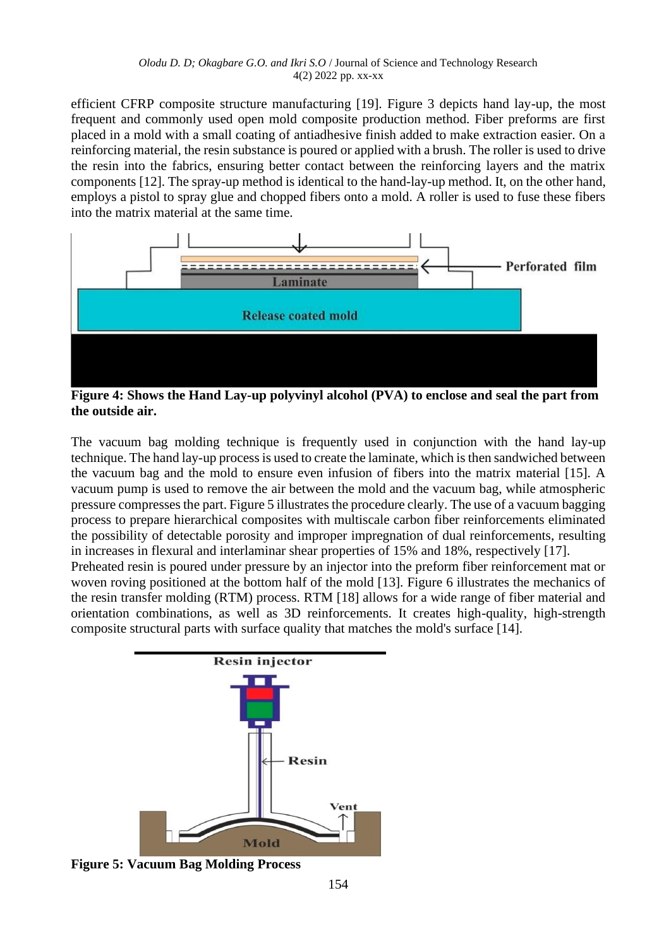efficient CFRP composite structure manufacturing [19]. Figure 3 depicts hand lay-up, the most frequent and commonly used open mold composite production method. Fiber preforms are first placed in a mold with a small coating of antiadhesive finish added to make extraction easier. On a reinforcing material, the resin substance is poured or applied with a brush. The roller is used to drive the resin into the fabrics, ensuring better contact between the reinforcing layers and the matrix components [12]. The spray-up method is identical to the hand-lay-up method. It, on the other hand, employs a pistol to spray glue and chopped fibers onto a mold. A roller is used to fuse these fibers into the matrix material at the same time.



**Figure 4: Shows the Hand Lay-up polyvinyl alcohol (PVA) to enclose and seal the part from the outside air.** 

The vacuum bag molding technique is frequently used in conjunction with the hand lay-up technique. The hand lay-up process is used to create the laminate, which is then sandwiched between the vacuum bag and the mold to ensure even infusion of fibers into the matrix material [15]. A vacuum pump is used to remove the air between the mold and the vacuum bag, while atmospheric pressure compresses the part. Figure 5 illustrates the procedure clearly. The use of a vacuum bagging process to prepare hierarchical composites with multiscale carbon fiber reinforcements eliminated the possibility of detectable porosity and improper impregnation of dual reinforcements, resulting in increases in flexural and interlaminar shear properties of 15% and 18%, respectively [17]. Preheated resin is poured under pressure by an injector into the preform fiber reinforcement mat or woven roving positioned at the bottom half of the mold [13]. Figure 6 illustrates the mechanics of the resin transfer molding (RTM) process. RTM [18] allows for a wide range of fiber material and orientation combinations, as well as 3D reinforcements. It creates high-quality, high-strength composite structural parts with surface quality that matches the mold's surface [14].



**Figure 5: Vacuum Bag Molding Process**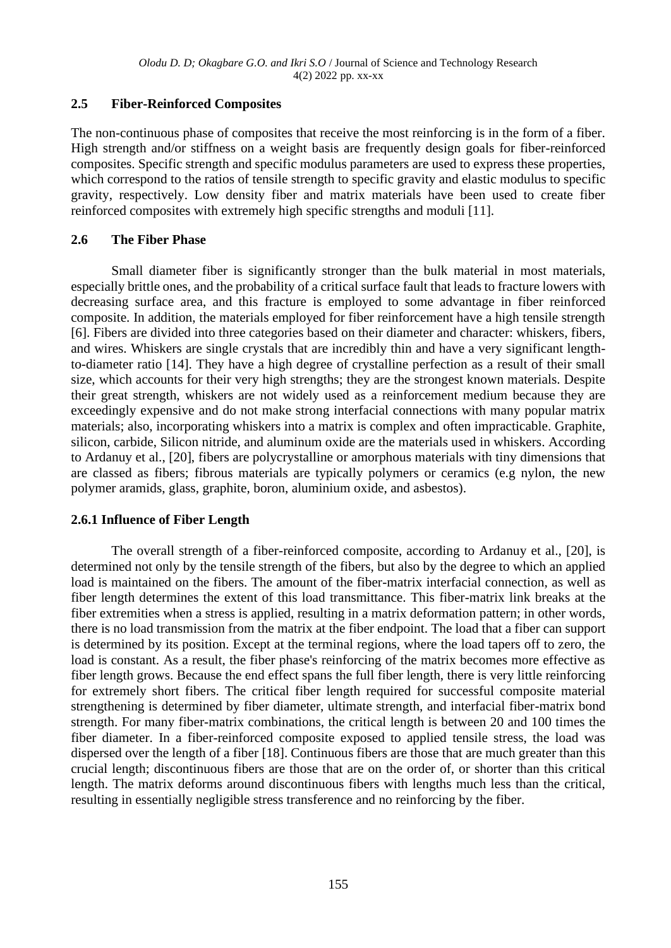# **2.5 Fiber-Reinforced Composites**

The non-continuous phase of composites that receive the most reinforcing is in the form of a fiber. High strength and/or stiffness on a weight basis are frequently design goals for fiber-reinforced composites. Specific strength and specific modulus parameters are used to express these properties, which correspond to the ratios of tensile strength to specific gravity and elastic modulus to specific gravity, respectively. Low density fiber and matrix materials have been used to create fiber reinforced composites with extremely high specific strengths and moduli [11].

### **2.6 The Fiber Phase**

Small diameter fiber is significantly stronger than the bulk material in most materials, especially brittle ones, and the probability of a critical surface fault that leads to fracture lowers with decreasing surface area, and this fracture is employed to some advantage in fiber reinforced composite. In addition, the materials employed for fiber reinforcement have a high tensile strength [6]. Fibers are divided into three categories based on their diameter and character: whiskers, fibers, and wires. Whiskers are single crystals that are incredibly thin and have a very significant lengthto-diameter ratio [14]. They have a high degree of crystalline perfection as a result of their small size, which accounts for their very high strengths; they are the strongest known materials. Despite their great strength, whiskers are not widely used as a reinforcement medium because they are exceedingly expensive and do not make strong interfacial connections with many popular matrix materials; also, incorporating whiskers into a matrix is complex and often impracticable. Graphite, silicon, carbide, Silicon nitride, and aluminum oxide are the materials used in whiskers. According to Ardanuy et al., [20], fibers are polycrystalline or amorphous materials with tiny dimensions that are classed as fibers; fibrous materials are typically polymers or ceramics (e.g nylon, the new polymer aramids, glass, graphite, boron, aluminium oxide, and asbestos).

# **2.6.1 Influence of Fiber Length**

 The overall strength of a fiber-reinforced composite, according to Ardanuy et al., [20], is determined not only by the tensile strength of the fibers, but also by the degree to which an applied load is maintained on the fibers. The amount of the fiber-matrix interfacial connection, as well as fiber length determines the extent of this load transmittance. This fiber-matrix link breaks at the fiber extremities when a stress is applied, resulting in a matrix deformation pattern; in other words, there is no load transmission from the matrix at the fiber endpoint. The load that a fiber can support is determined by its position. Except at the terminal regions, where the load tapers off to zero, the load is constant. As a result, the fiber phase's reinforcing of the matrix becomes more effective as fiber length grows. Because the end effect spans the full fiber length, there is very little reinforcing for extremely short fibers. The critical fiber length required for successful composite material strengthening is determined by fiber diameter, ultimate strength, and interfacial fiber-matrix bond strength. For many fiber-matrix combinations, the critical length is between 20 and 100 times the fiber diameter. In a fiber-reinforced composite exposed to applied tensile stress, the load was dispersed over the length of a fiber [18]. Continuous fibers are those that are much greater than this crucial length; discontinuous fibers are those that are on the order of, or shorter than this critical length. The matrix deforms around discontinuous fibers with lengths much less than the critical, resulting in essentially negligible stress transference and no reinforcing by the fiber.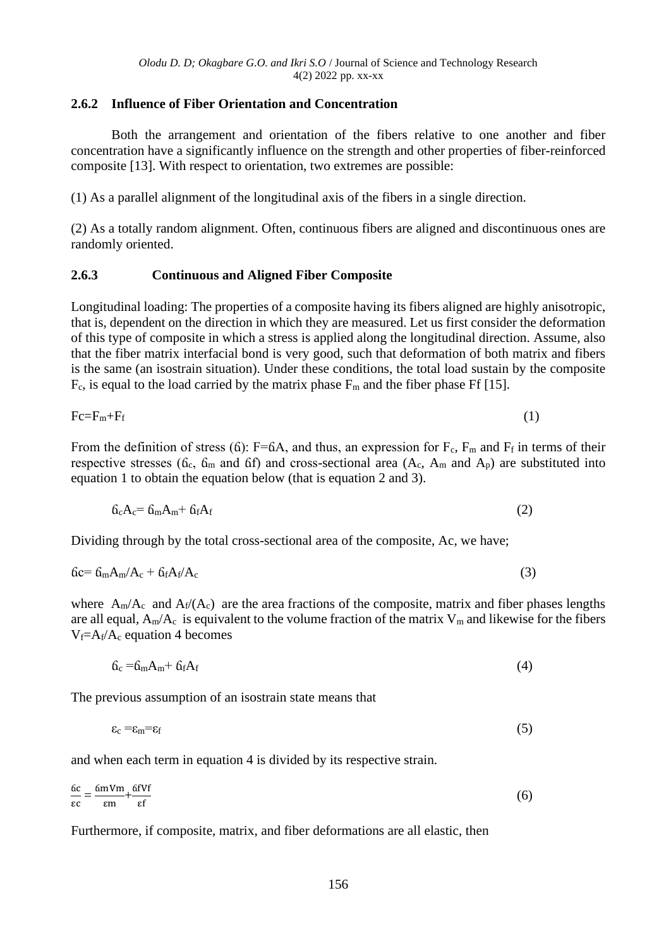### **2.6.2 Influence of Fiber Orientation and Concentration**

Both the arrangement and orientation of the fibers relative to one another and fiber concentration have a significantly influence on the strength and other properties of fiber-reinforced composite [13]. With respect to orientation, two extremes are possible:

(1) As a parallel alignment of the longitudinal axis of the fibers in a single direction.

(2) As a totally random alignment. Often, continuous fibers are aligned and discontinuous ones are randomly oriented.

### **2.6.3 Continuous and Aligned Fiber Composite**

Longitudinal loading: The properties of a composite having its fibers aligned are highly anisotropic, that is, dependent on the direction in which they are measured. Let us first consider the deformation of this type of composite in which a stress is applied along the longitudinal direction. Assume, also that the fiber matrix interfacial bond is very good, such that deformation of both matrix and fibers is the same (an isostrain situation). Under these conditions, the total load sustain by the composite  $F_c$ , is equal to the load carried by the matrix phase  $F_m$  and the fiber phase Ff [15].

$$
Fc = F_m + F_f \tag{1}
$$

From the definition of stress (6):  $F=6A$ , and thus, an expression for  $F_c$ ,  $F_m$  and  $F_f$  in terms of their respective stresses ( $\delta_c$ ,  $\delta_m$  and  $\delta f$ ) and cross-sectional area ( $A_c$ ,  $A_m$  and  $A_p$ ) are substituted into equation 1 to obtain the equation below (that is equation 2 and 3).

$$
6_cA_c = 6_mA_m + 6_fA_f \tag{2}
$$

Dividing through by the total cross-sectional area of the composite, Ac, we have;

$$
6c = 6mAm/Ac + 6fAf/Ac
$$
 (3)

where  $A_m/A_c$  and  $A_f/(A_c)$  are the area fractions of the composite, matrix and fiber phases lengths are all equal,  $A_m/A_c$  is equivalent to the volume fraction of the matrix  $V_m$  and likewise for the fibers  $V_f = A_f/A_c$  equation 4 becomes

$$
6_c = 6_m A_m + 6_f A_f \tag{4}
$$

The previous assumption of an isostrain state means that

$$
\varepsilon_{\rm c} = \varepsilon_{\rm m} = \varepsilon_{\rm f} \tag{5}
$$

and when each term in equation 4 is divided by its respective strain.

$$
\frac{6c}{\epsilon c} = \frac{6mVm}{\epsilon m} + \frac{6fVf}{\epsilon f}
$$
 (6)

Furthermore, if composite, matrix, and fiber deformations are all elastic, then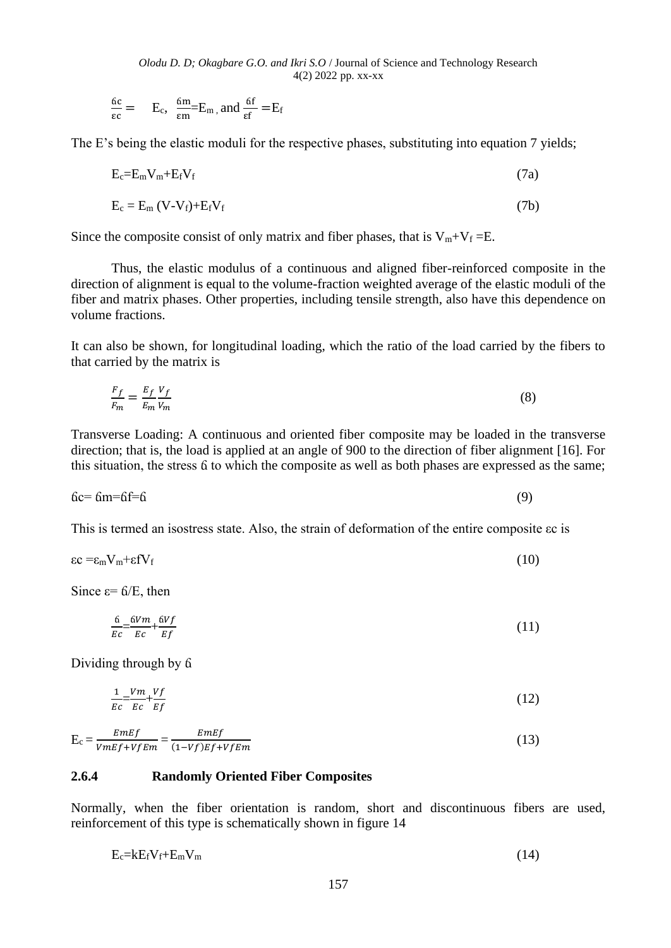*Olodu D. D; Okagbare G.O. and Ikri S.O* / Journal of Science and Technology Research 4(2) 2022 pp. xx-xx

$$
\frac{6c}{\epsilon c} = E_c, \ \frac{6m}{\epsilon m} = E_m, \text{and } \frac{6f}{\epsilon f} = E_f
$$

The E's being the elastic moduli for the respective phases, substituting into equation 7 yields;

$$
E_c = E_m V_m + E_f V_f \tag{7a}
$$

$$
E_c = E_m (V - V_f) + E_f V_f
$$
 (7b)

Since the composite consist of only matrix and fiber phases, that is  $V_m+V_f = E$ .

Thus, the elastic modulus of a continuous and aligned fiber-reinforced composite in the direction of alignment is equal to the volume-fraction weighted average of the elastic moduli of the fiber and matrix phases. Other properties, including tensile strength, also have this dependence on volume fractions.

It can also be shown, for longitudinal loading, which the ratio of the load carried by the fibers to that carried by the matrix is

$$
\frac{F_f}{F_m} = \frac{E_f V_f}{E_m V_m} \tag{8}
$$

Transverse Loading: A continuous and oriented fiber composite may be loaded in the transverse direction; that is, the load is applied at an angle of 900 to the direction of fiber alignment [16]. For this situation, the stress ճ to which the composite as well as both phases are expressed as the same;

$$
6c = 6m = 6f = 6 \tag{9}
$$

This is termed an isostress state. Also, the strain of deformation of the entire composite εc is

$$
\varepsilon c = \varepsilon_{\rm m} V_{\rm m} + \varepsilon f V_{\rm f} \tag{10}
$$

Since  $\varepsilon = 6/E$ , then

$$
\frac{6}{Ec} = \frac{6Vm}{Ec} + \frac{6Vf}{Ef} \tag{11}
$$

Dividing through by ճ

$$
\frac{1}{EC} = \frac{Vm}{EC} + \frac{Vf}{Ef} \tag{12}
$$

 $E_c = \frac{EmEf}{H_c}$  $\frac{EmEf}{VmEf+VfEm} = \frac{EmEf}{(1-Vf)Ef+}$  $(1-Vf)Ef+VfEm$ (13)

#### **2.6.4 Randomly Oriented Fiber Composites**

Normally, when the fiber orientation is random, short and discontinuous fibers are used, reinforcement of this type is schematically shown in figure 14

$$
E_c = kE_f V_f + E_m V_m \tag{14}
$$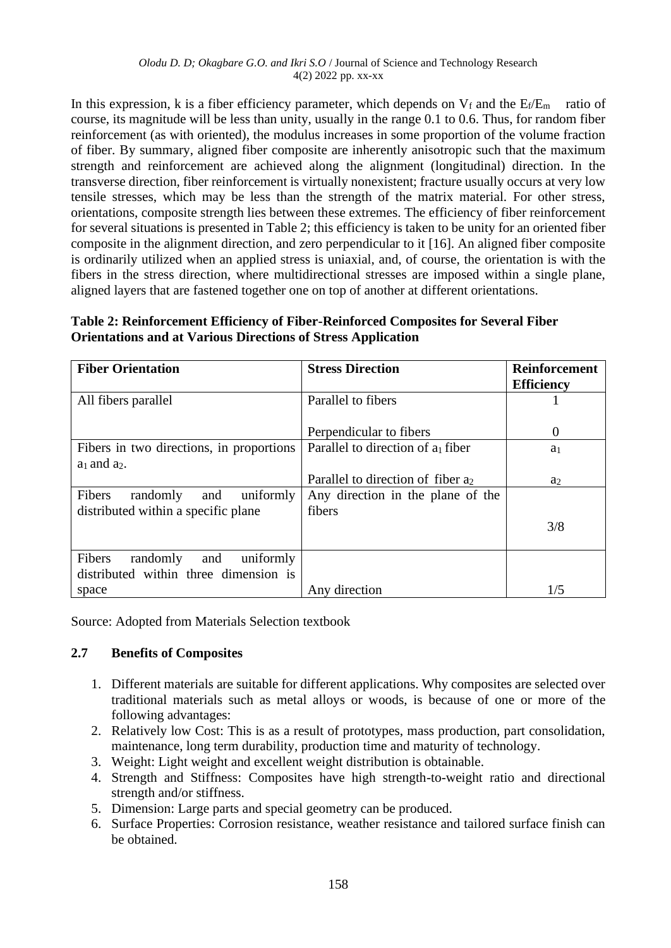In this expression, k is a fiber efficiency parameter, which depends on  $V_f$  and the  $E_f/E_m$  ratio of course, its magnitude will be less than unity, usually in the range 0.1 to 0.6. Thus, for random fiber reinforcement (as with oriented), the modulus increases in some proportion of the volume fraction of fiber. By summary, aligned fiber composite are inherently anisotropic such that the maximum strength and reinforcement are achieved along the alignment (longitudinal) direction. In the transverse direction, fiber reinforcement is virtually nonexistent; fracture usually occurs at very low tensile stresses, which may be less than the strength of the matrix material. For other stress, orientations, composite strength lies between these extremes. The efficiency of fiber reinforcement for several situations is presented in Table 2; this efficiency is taken to be unity for an oriented fiber composite in the alignment direction, and zero perpendicular to it [16]. An aligned fiber composite is ordinarily utilized when an applied stress is uniaxial, and, of course, the orientation is with the fibers in the stress direction, where multidirectional stresses are imposed within a single plane, aligned layers that are fastened together one on top of another at different orientations.

| Table 2: Reinforcement Efficiency of Fiber-Reinforced Composites for Several Fiber |
|------------------------------------------------------------------------------------|
| <b>Orientations and at Various Directions of Stress Application</b>                |

| <b>Fiber Orientation</b>                 | <b>Stress Direction</b>                       | <b>Reinforcement</b> |
|------------------------------------------|-----------------------------------------------|----------------------|
|                                          |                                               | <b>Efficiency</b>    |
| All fibers parallel                      | Parallel to fibers                            |                      |
|                                          |                                               |                      |
|                                          | Perpendicular to fibers                       | $\Omega$             |
| Fibers in two directions, in proportions | Parallel to direction of $a_1$ fiber          | a <sub>1</sub>       |
| $a_1$ and $a_2$ .                        |                                               |                      |
|                                          | Parallel to direction of fiber a <sub>2</sub> | a <sub>2</sub>       |
| uniformly<br>Fibers<br>randomly<br>and   | Any direction in the plane of the             |                      |
| distributed within a specific plane      | fibers                                        |                      |
|                                          |                                               | 3/8                  |
|                                          |                                               |                      |
| Fibers<br>uniformly<br>randomly<br>and   |                                               |                      |
| distributed within three dimension is    |                                               |                      |
| space                                    | Any direction                                 | 1/5                  |

Source: Adopted from Materials Selection textbook

# **2.7 Benefits of Composites**

- 1. Different materials are suitable for different applications. Why composites are selected over traditional materials such as metal alloys or woods, is because of one or more of the following advantages:
- 2. Relatively low Cost: This is as a result of prototypes, mass production, part consolidation, maintenance, long term durability, production time and maturity of technology.
- 3. Weight: Light weight and excellent weight distribution is obtainable.
- 4. Strength and Stiffness: Composites have high strength-to-weight ratio and directional strength and/or stiffness.
- 5. Dimension: Large parts and special geometry can be produced.
- 6. Surface Properties: Corrosion resistance, weather resistance and tailored surface finish can be obtained.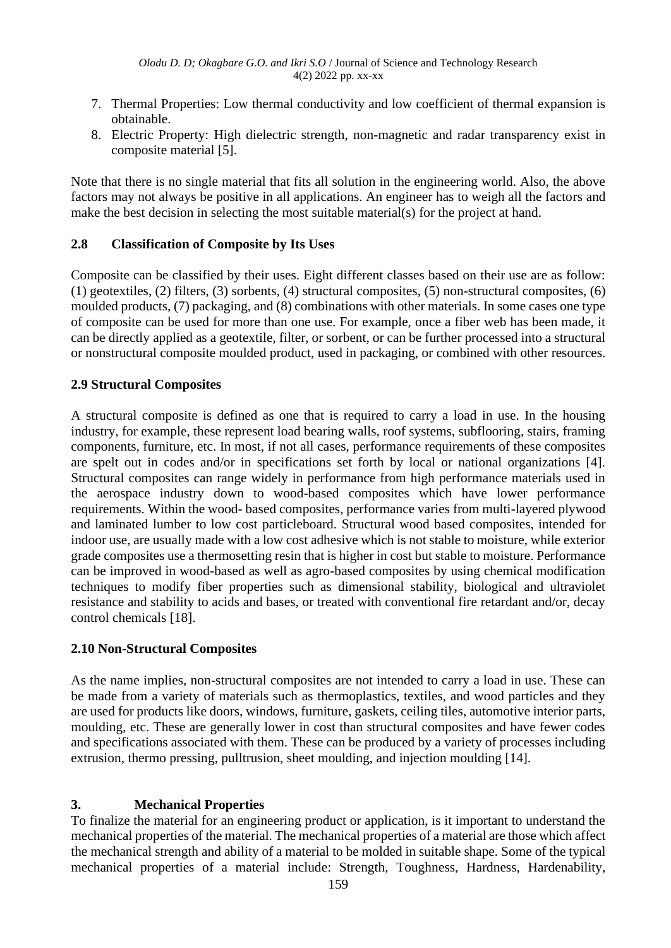- 7. Thermal Properties: Low thermal conductivity and low coefficient of thermal expansion is obtainable.
- 8. Electric Property: High dielectric strength, non-magnetic and radar transparency exist in composite material [5].

Note that there is no single material that fits all solution in the engineering world. Also, the above factors may not always be positive in all applications. An engineer has to weigh all the factors and make the best decision in selecting the most suitable material(s) for the project at hand.

# **2.8 Classification of Composite by Its Uses**

Composite can be classified by their uses. Eight different classes based on their use are as follow: (1) geotextiles, (2) filters, (3) sorbents, (4) structural composites, (5) non-structural composites, (6) moulded products, (7) packaging, and (8) combinations with other materials. In some cases one type of composite can be used for more than one use. For example, once a fiber web has been made, it can be directly applied as a geotextile, filter, or sorbent, or can be further processed into a structural or nonstructural composite moulded product, used in packaging, or combined with other resources.

# **2.9 Structural Composites**

A structural composite is defined as one that is required to carry a load in use. In the housing industry, for example, these represent load bearing walls, roof systems, subflooring, stairs, framing components, furniture, etc. In most, if not all cases, performance requirements of these composites are spelt out in codes and/or in specifications set forth by local or national organizations [4]. Structural composites can range widely in performance from high performance materials used in the aerospace industry down to wood-based composites which have lower performance requirements. Within the wood- based composites, performance varies from multi-layered plywood and laminated lumber to low cost particleboard. Structural wood based composites, intended for indoor use, are usually made with a low cost adhesive which is not stable to moisture, while exterior grade composites use a thermosetting resin that is higher in cost but stable to moisture. Performance can be improved in wood-based as well as agro-based composites by using chemical modification techniques to modify fiber properties such as dimensional stability, biological and ultraviolet resistance and stability to acids and bases, or treated with conventional fire retardant and/or, decay control chemicals [18].

# **2.10 Non-Structural Composites**

As the name implies, non-structural composites are not intended to carry a load in use. These can be made from a variety of materials such as thermoplastics, textiles, and wood particles and they are used for products like doors, windows, furniture, gaskets, ceiling tiles, automotive interior parts, moulding, etc. These are generally lower in cost than structural composites and have fewer codes and specifications associated with them. These can be produced by a variety of processes including extrusion, thermo pressing, pulltrusion, sheet moulding, and injection moulding [14].

# **3. Mechanical Properties**

To finalize the material for an engineering product or application, is it important to understand the mechanical properties of the material. The mechanical properties of a material are those which affect the mechanical strength and ability of a material to be molded in suitable shape. Some of the typical mechanical properties of a material include: Strength, Toughness, Hardness, Hardenability,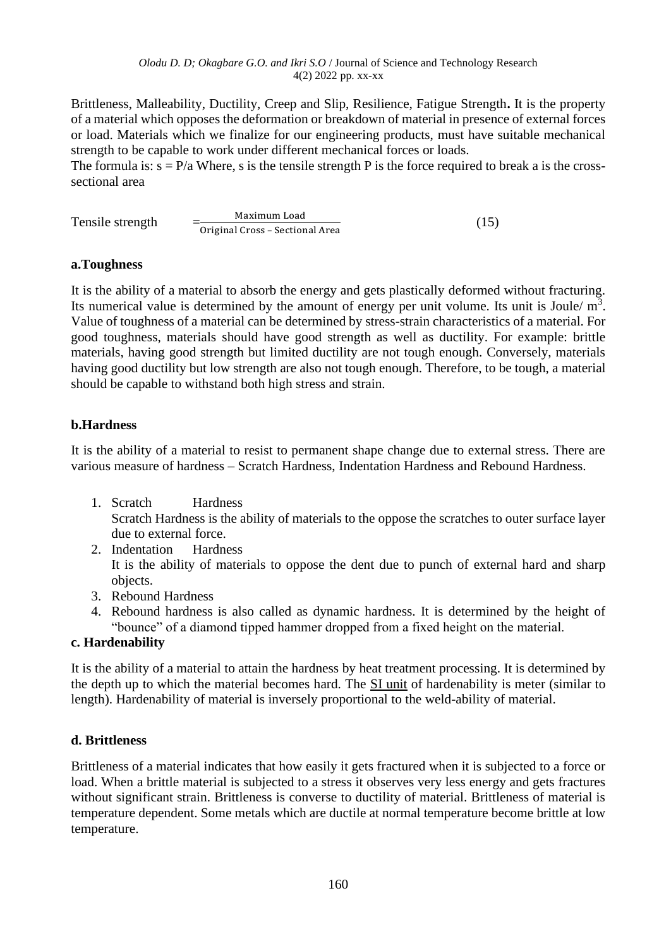Brittleness, Malleability, Ductility, Creep and Slip, Resilience, Fatigue Strength**.** It is the property of a material which opposes the deformation or breakdown of material in presence of external forces or load. Materials which we finalize for our engineering products, must have suitable mechanical strength to be capable to work under different mechanical forces or loads.

The formula is:  $s = P/a$  Where, s is the tensile strength P is the force required to break a is the crosssectional area

|                  | Maximum Load                    | (15) |
|------------------|---------------------------------|------|
| Tensile strength | Original Cross - Sectional Area |      |

# **a.Toughness**

It is the ability of a material to absorb the energy and gets plastically deformed without fracturing. Its numerical value is determined by the amount of energy per unit volume. Its unit is Joule/ $m<sup>3</sup>$ . Value of toughness of a material can be determined by stress-strain characteristics of a material. For good toughness, materials should have good strength as well as ductility. For example: brittle materials, having good strength but limited ductility are not tough enough. Conversely, materials having good ductility but low strength are also not tough enough. Therefore, to be tough, a material should be capable to withstand both high stress and strain.

# **b.Hardness**

It is the ability of a material to resist to permanent shape change due to external stress. There are various measure of hardness – Scratch Hardness, Indentation Hardness and Rebound Hardness.

- 1. Scratch Hardness Scratch Hardness is the ability of materials to the oppose the scratches to outer surface layer due to external force.
- 2. Indentation Hardness It is the ability of materials to oppose the dent due to punch of external hard and sharp objects.
- 3. Rebound Hardness
- 4. Rebound hardness is also called as dynamic hardness. It is determined by the height of "bounce" of a diamond tipped hammer dropped from a fixed height on the material.

# **c. Hardenability**

It is the ability of a material to attain the hardness by heat treatment processing. It is determined by the depth up to which the material becomes hard. The SI [unit](https://www.electrical4u.com/si-system-of-units/) of hardenability is meter (similar to length). Hardenability of material is inversely proportional to the weld-ability of material.

# **d. Brittleness**

Brittleness of a material indicates that how easily it gets fractured when it is subjected to a force or load. When a brittle material is subjected to a stress it observes very less energy and gets fractures without significant strain. Brittleness is converse to ductility of material. Brittleness of material is temperature dependent. Some metals which are ductile at normal temperature become brittle at low temperature.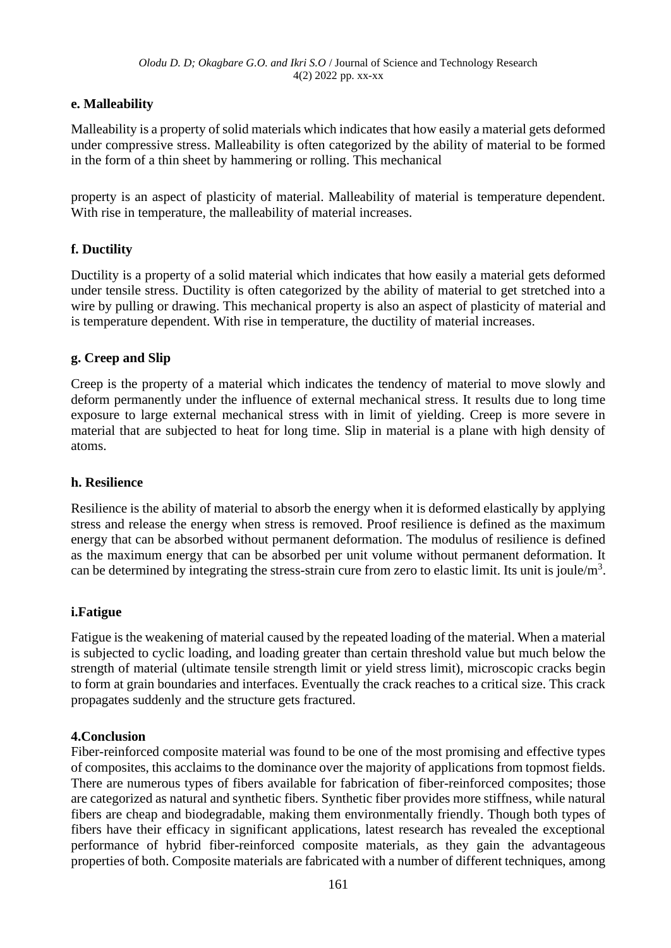# **e. Malleability**

Malleability is a property of solid materials which indicates that how easily a material gets deformed under compressive stress. Malleability is often categorized by the ability of material to be formed in the form of a thin sheet by hammering or rolling. This mechanical

property is an aspect of plasticity of material. Malleability of material is temperature dependent. With rise in temperature, the malleability of material increases.

# **f. Ductility**

Ductility is a property of a solid material which indicates that how easily a material gets deformed under tensile stress. Ductility is often categorized by the ability of material to get stretched into a wire by pulling or drawing. This mechanical property is also an aspect of plasticity of material and is temperature dependent. With rise in temperature, the ductility of material increases.

# **g. Creep and Slip**

Creep is the property of a material which indicates the tendency of material to move slowly and deform permanently under the influence of external mechanical stress. It results due to long time exposure to large external mechanical stress with in limit of yielding. Creep is more severe in material that are subjected to heat for long time. Slip in material is a plane with high density of atoms.

# **h. Resilience**

Resilience is the ability of material to absorb the energy when it is deformed elastically by applying stress and release the energy when stress is removed. Proof resilience is defined as the maximum energy that can be absorbed without permanent deformation. The modulus of resilience is defined as the maximum energy that can be absorbed per unit volume without permanent deformation. It can be determined by integrating the stress-strain cure from zero to elastic limit. Its unit is joule/m<sup>3</sup>.

# **i.Fatigue**

Fatigue is the weakening of material caused by the repeated loading of the material. When a material is subjected to cyclic loading, and loading greater than certain threshold value but much below the strength of material (ultimate tensile strength limit or yield stress limit), microscopic cracks begin to form at grain boundaries and interfaces. Eventually the crack reaches to a critical size. This crack propagates suddenly and the structure gets fractured.

### **4.Conclusion**

Fiber-reinforced composite material was found to be one of the most promising and effective types of composites, this acclaims to the dominance over the majority of applications from topmost fields. There are numerous types of fibers available for fabrication of fiber-reinforced composites; those are categorized as natural and synthetic fibers. Synthetic fiber provides more stiffness, while natural fibers are cheap and biodegradable, making them environmentally friendly. Though both types of fibers have their efficacy in significant applications, latest research has revealed the exceptional performance of hybrid fiber-reinforced composite materials, as they gain the advantageous properties of both. Composite materials are fabricated with a number of different techniques, among